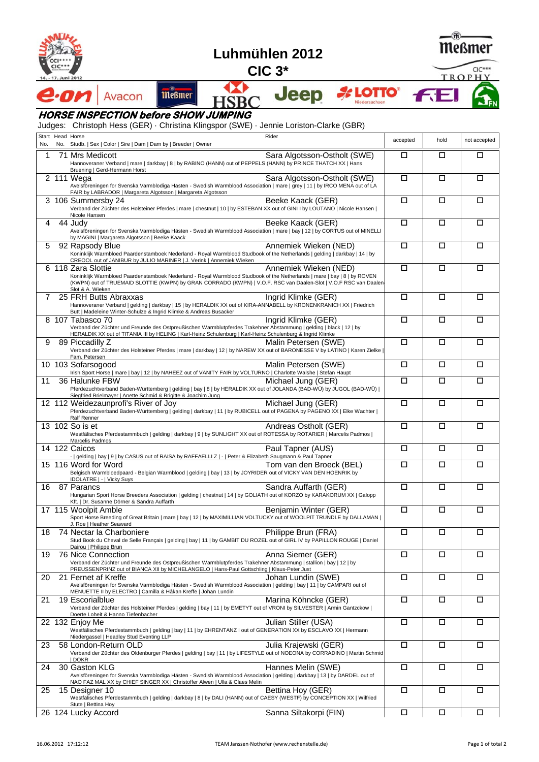

## **Luhmühlen 2012**

**CIC 3\***



TROPHY

**FE** 

 $CIC***$ 

M **Jeep A LOTTO** *<u>meßmer</u>* Avacon  $\boldsymbol{\eta}$ 2 **HSB** Niedersachsen

## **HORSE INSPECTION before SHOW JUMPING**

Judges: Christoph Hess (GER) · Christina Klingspor (SWE) · Jennie Loriston-Clarke (GBR)

| No. | Start Head Horse<br>Rider<br>No. Studb.   Sex   Color   Sire   Dam   Dam by   Breeder   Owner                                                                                                                                                                                                                    | accepted | hold   | not accepted |
|-----|------------------------------------------------------------------------------------------------------------------------------------------------------------------------------------------------------------------------------------------------------------------------------------------------------------------|----------|--------|--------------|
| 1   | Sara Algotsson-Ostholt (SWE)<br>71 Mrs Medicott<br>Hannoveraner Verband   mare   darkbay   8   by RABINO (HANN) out of PEPPELS (HANN) by PRINCE THATCH XX   Hans<br>Bruening   Gerd-Hermann Horst                                                                                                                | □        | □      | $\Box$       |
|     | $\overline{2}$ 111 Wega<br>Sara Algotsson-Ostholt (SWE)<br>Avelsföreningen for Svenska Varmblodiga Hästen - Swedish Warmblood Association   mare   grey   11   by IRCO MENA out of LA<br>FAIR by LABRADOR   Margareta Algotsson   Margareta Algotsson                                                            | □        | □      | □            |
|     | Beeke Kaack (GER)<br>3 106 Summersby 24<br>Verband der Züchter des Holsteiner Pferdes   mare   chestnut   10   by ESTEBAN XX out of GINI I by LOUTANO   Nicole Hansen  <br>Nicole Hansen                                                                                                                         | $\Box$   | $\Box$ | $\Box$       |
| 4   | Beeke Kaack (GER)<br>44 Judy<br>Avelsföreningen for Svenska Varmblodiga Hästen - Swedish Warmblood Association   mare   bay   12   by CORTUS out of MINELLI<br>by MAGINI   Margareta Algotsson   Beeke Kaack                                                                                                     | □        | □      | □            |
| 5   | Annemiek Wieken (NED)<br>92 Rapsody Blue<br>Koninklijk Warmbloed Paardenstamboek Nederland - Royal Warmblood Studbook of the Netherlands   gelding   darkbay   14   by<br>CREOOL out of JANIBUR by JULIO MARINER   J. Verink   Annemiek Wieken                                                                   | □        | □      | □            |
|     | 6 118 Zara Slottie<br>Annemiek Wieken (NED)<br>Koninklijk Warmbloed Paardenstamboek Nederland - Royal Warmblood Studbook of the Netherlands   mare   bay   8   by ROVEN<br>(KWPN) out of TRUEMAID SLOTTIE (KWPN) by GRAN CORRADO (KWPN)   V.O.F. RSC van Daalen-Slot   V.O.F RSC van Daalen-<br>Slot & A. Wieken | □        | □      | □            |
| 7   | 25 FRH Butts Abraxxas<br>Ingrid Klimke (GER)<br>Hannoveraner Verband   gelding   darkbay   15   by HERALDIK XX out of KIRA-ANNABELL by KRONENKRANICH XX   Friedrich<br>Butt   Madeleine Winter-Schulze & Ingrid Klimke & Andreas Busacker                                                                        | □        | □      | □            |
|     | 8 107 Tabasco 70<br>Ingrid Klimke (GER)<br>Verband der Züchter und Freunde des Ostpreußischen Warmblutpferdes Trakehner Abstammung   gelding   black   12   by<br>HERALDIK XX out of TITANIA III by HELING   Karl-Heinz Schulenburg   Karl-Heinz Schulenburg & Ingrid Klimke                                     | $\Box$   | □      | □            |
| 9   | Malin Petersen (SWE)<br>89 Piccadilly Z<br>Verband der Züchter des Holsteiner Pferdes   mare   darkbay   12   by NAREW XX out of BARONESSE V by LATINO   Karen Zielke  <br>Fam. Petersen                                                                                                                         | □        | □      | $\Box$       |
|     | 10 103 Sofarsogood<br>Malin Petersen (SWE)<br>Irish Sport Horse   mare   bay   12   by NAHEEZ out of VANITY FAIR by VOLTURNO   Charlotte Walshe   Stefan Haupt                                                                                                                                                   | $\Box$   | $\Box$ | □            |
| 11  | 36 Halunke FBW<br>Michael Jung (GER)<br>Pferdezuchtverband Baden-Württemberg   gelding   bay   8   by HERALDIK XX out of JOLANDA (BAD-WÜ) by JUGOL (BAD-WÜ)  <br>Siegfried Brielmayer   Anette Schmid & Brigitte & Joachim Jung                                                                                  | $\Box$   | $\Box$ | □            |
|     | 12 112 Weidezaunprofi's River of Joy<br>Michael Jung (GER)<br>Pferdezuchtverband Baden-Württemberg   gelding   darkbay   11   by RUBICELL out of PAGENA by PAGENO XX   Elke Wachter  <br>Ralf Renner                                                                                                             | $\Box$   | □      | □            |
|     | 13 102 So is et<br>Andreas Ostholt (GER)<br>Westfälisches Pferdestammbuch   gelding   darkbay   9   by SUNLIGHT XX out of ROTESSA by ROTARIER   Marcelis Padmos  <br>Marcelis Padmos                                                                                                                             | □        | □      | $\Box$       |
|     | 14 122 Caicos<br>Paul Tapner (AUS)<br>-   gelding   bay   9   by CASUS out of RAISA by RAFFAELLI Z   -   Peter & Elizabeth Saugmann & Paul Tapner                                                                                                                                                                | $\Box$   | □      | □            |
|     | 15 116 Word for Word<br>Tom van den Broeck (BEL)<br>Belgisch Warmbloedpaard - Belgian Warmblood   gelding   bay   13   by JOYRIDER out of VICKY VAN DEN HOENRIK by<br>IDOLATRE   -   Vicky Suys                                                                                                                  | □        | □      | □            |
| 16  | 87 Parancs<br>Sandra Auffarth (GER)<br>Hungarian Sport Horse Breeders Association   gelding   chestnut   14   by GOLIATH out of KORZO by KARAKORUM XX   Galopp<br>Kft.   Dr. Susanne Dörner & Sandra Auffarth                                                                                                    | □        | □      | □            |
|     | 17 115 Woolpit Amble<br>Benjamin Winter (GER)<br>Sport Horse Breeding of Great Britain   mare   bay   12   by MAXIMILLIAN VOLTUCKY out of WOOLPIT TRUNDLE by DALLAMAN  <br>J. Roe   Heather Seaward                                                                                                              | □        | □      | □            |
| 18  | Philippe Brun (FRA)<br>74 Nectar la Charboniere<br>Stud Book du Cheval de Selle Français   gelding   bay   11   by GAMBIT DU ROZEL out of GIRL IV by PAPILLON ROUGE   Daniel<br>Dairou   Philippe Brun                                                                                                           | $\Box$   | $\Box$ | $\Box$       |
| 19  | 76 Nice Connection<br>Anna Siemer (GER)<br>Verband der Züchter und Freunde des Ostpreußischen Warmblutpferdes Trakehner Abstammung   stallion   bay   12   by<br>PREUSSENPRINZ out of BIANCA XII by MICHELANGELO   Hans-Paul Gottschling   Klaus-Peter Just                                                      | $\Box$   | $\Box$ | □            |
| 20  | 21 Fernet af Kreffe<br>Johan Lundin (SWE)<br>Avelsföreningen for Svenska Varmblodiga Hästen - Swedish Warmblood Association   gelding   bay   11   by CAMPARI out of<br>MENUETTE II by ELECTRO   Camilla & Håkan Kreffe   Johan Lundin                                                                           | $\Box$   | $\Box$ | □            |
| 21  | 19 Escorialblue<br>Marina Köhncke (GER)<br>Verband der Züchter des Holsteiner Pferdes   gelding   bay   11   by EMETYT out of VRONI by SILVESTER   Armin Gantzckow  <br>Doerte Loheit & Hanno Tiefenbacher                                                                                                       | $\Box$   | $\Box$ | $\Box$       |
|     | 22 132 Enjoy Me<br>Julian Stiller (USA)<br>Westfälisches Pferdestammbuch   gelding   bay   11   by EHRENTANZ I out of GENERATION XX by ESCLAVO XX   Hermann<br>Niedergassel   Headley Stud Eventing LLP                                                                                                          | $\Box$   | $\Box$ | $\Box$       |
| 23  | 58 London-Return OLD<br>Julia Kraiewski (GER)<br>Verband der Züchter des Oldenburger Pferdes   gelding   bay   11   by LIFESTYLE out of NOEONA by CORRADINO   Martin Schmid<br>  DOKR                                                                                                                            | $\Box$   | $\Box$ | $\Box$       |
| 24  | 30 Gaston KLG<br>Hannes Melin (SWE)<br>Avelsföreningen for Svenska Varmblodiga Hästen - Swedish Warmblood Association   gelding   darkbay   13   by DARDEL out of<br>NAO FAZ MAL XX by CHIEF SINGER XX   Christoffer Alwen   Ulla & Claes Melin                                                                  | $\Box$   | П      | П            |
| 25  | Bettina Hoy (GER)<br>15 Designer 10<br>Westfälisches Pferdestammbuch   gelding   darkbay   8   by DALI (HANN) out of CAESY (WESTF) by CONCEPTION XX   Wilfried<br>Stute   Bettina Hoy                                                                                                                            | $\Box$   | □      | $\Box$       |
|     | Sanna Siltakorpi (FIN)<br>26 124 Lucky Accord                                                                                                                                                                                                                                                                    | $\Box$   | П      | □            |